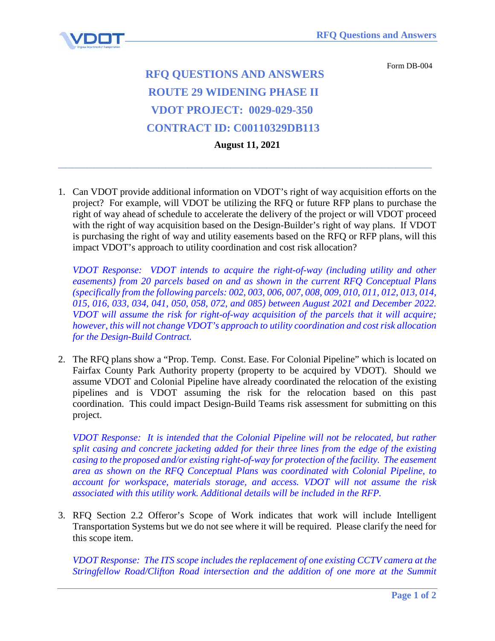

Form DB-004

## **RFQ QUESTIONS AND ANSWERS ROUTE 29 WIDENING PHASE II VDOT PROJECT: 0029-029-350 CONTRACT ID: C00110329DB113 August 11, 2021**

1. Can VDOT provide additional information on VDOT's right of way acquisition efforts on the project? For example, will VDOT be utilizing the RFQ or future RFP plans to purchase the right of way ahead of schedule to accelerate the delivery of the project or will VDOT proceed with the right of way acquisition based on the Design-Builder's right of way plans. If VDOT is purchasing the right of way and utility easements based on the RFQ or RFP plans, will this impact VDOT's approach to utility coordination and cost risk allocation?

**\_\_\_\_\_\_\_\_\_\_\_\_\_\_\_\_\_\_\_\_\_\_\_\_\_\_\_\_\_\_\_\_\_\_\_\_\_\_\_\_\_\_\_\_\_\_\_\_\_\_\_\_**

*VDOT Response: VDOT intends to acquire the right-of-way (including utility and other easements) from 20 parcels based on and as shown in the current RFQ Conceptual Plans (specifically from the following parcels: 002, 003, 006, 007, 008, 009, 010, 011, 012, 013, 014, 015, 016, 033, 034, 041, 050, 058, 072, and 085) between August 2021 and December 2022. VDOT will assume the risk for right-of-way acquisition of the parcels that it will acquire; however, this will not change VDOT's approach to utility coordination and cost risk allocation for the Design-Build Contract.*

2. The RFQ plans show a "Prop. Temp. Const. Ease. For Colonial Pipeline" which is located on Fairfax County Park Authority property (property to be acquired by VDOT). Should we assume VDOT and Colonial Pipeline have already coordinated the relocation of the existing pipelines and is VDOT assuming the risk for the relocation based on this past coordination. This could impact Design-Build Teams risk assessment for submitting on this project.

*VDOT Response: It is intended that the Colonial Pipeline will not be relocated, but rather split casing and concrete jacketing added for their three lines from the edge of the existing casing to the proposed and/or existing right-of-way for protection of the facility. The easement area as shown on the RFQ Conceptual Plans was coordinated with Colonial Pipeline, to account for workspace, materials storage, and access. VDOT will not assume the risk associated with this utility work. Additional details will be included in the RFP.*

3. RFQ Section 2.2 Offeror's Scope of Work indicates that work will include Intelligent Transportation Systems but we do not see where it will be required. Please clarify the need for this scope item.

*VDOT Response: The ITS scope includes the replacement of one existing CCTV camera at the Stringfellow Road/Clifton Road intersection and the addition of one more at the Summit*